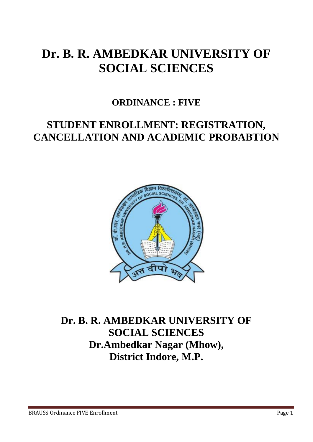# **Dr. B. R. AMBEDKAR UNIVERSITY OF SOCIAL SCIENCES**

### **ORDINANCE : FIVE**

## **STUDENT ENROLLMENT: REGISTRATION, CANCELLATION AND ACADEMIC PROBABTION**



## **Dr. B. R. AMBEDKAR UNIVERSITY OF SOCIAL SCIENCES Dr.Ambedkar Nagar (Mhow), District Indore, M.P.**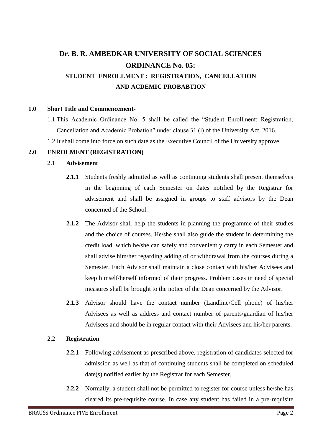### **Dr. B. R. AMBEDKAR UNIVERSITY OF SOCIAL SCIENCES ORDINANCE No. 05: STUDENT ENROLLMENT : REGISTRATION, CANCELLATION AND ACDEMIC PROBABTION**

#### **1.0 Short Title and Commencement-**

- 1.1 This Academic Ordinance No. 5 shall be called the "Student Enrollment: Registration, Cancellation and Academic Probation" under clause 31 (i) of the University Act, 2016.
- 1.2 It shall come into force on such date as the Executive Council of the University approve.

#### **2.0 ENROLMENT (REGISTRATION)**

#### 2.1 **Advisement**

- **2.1.1** Students freshly admitted as well as continuing students shall present themselves in the beginning of each Semester on dates notified by the Registrar for advisement and shall be assigned in groups to staff advisors by the Dean concerned of the School.
- **2.1.2** The Advisor shall help the students in planning the programme of their studies and the choice of courses. He/she shall also guide the student in determining the credit load, which he/she can safely and conveniently carry in each Semester and shall advise him/her regarding adding of or withdrawal from the courses during a Semester. Each Advisor shall maintain a close contact with his/her Advisees and keep himself/herself informed of their progress. Problem cases in need of special measures shall be brought to the notice of the Dean concerned by the Advisor.
- **2.1.3** Advisor should have the contact number (Landline/Cell phone) of his/her Advisees as well as address and contact number of parents/guardian of his/her Advisees and should be in regular contact with their Advisees and his/her parents.

#### 2.2 **Registration**

- **2.2.1** Following advisement as prescribed above, registration of candidates selected for admission as well as that of continuing students shall be completed on scheduled date(s) notified earlier by the Registrar for each Semester.
- **2.2.2** Normally, a student shall not be permitted to register for course unless he/she has cleared its pre-requisite course. In case any student has failed in a pre-requisite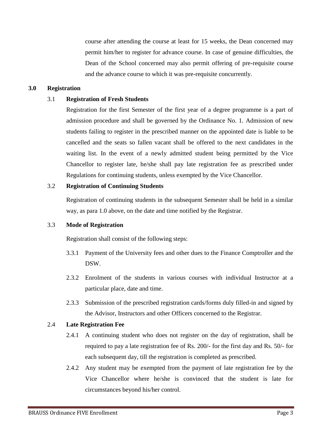course after attending the course at least for 15 weeks, the Dean concerned may permit him/her to register for advance course. In case of genuine difficulties, the Dean of the School concerned may also permit offering of pre-requisite course and the advance course to which it was pre-requisite concurrently.

#### **3.0 Registration**

#### 3.1 **Registration of Fresh Students**

Registration for the first Semester of the first year of a degree programme is a part of admission procedure and shall be governed by the Ordinance No. 1. Admission of new students failing to register in the prescribed manner on the appointed date is liable to be cancelled and the seats so fallen vacant shall be offered to the next candidates in the waiting list. In the event of a newly admitted student being permitted by the Vice Chancellor to register late, he/she shall pay late registration fee as prescribed under Regulations for continuing students, unless exempted by the Vice Chancellor.

#### 3.2 **Registration of Continuing Students**

Registration of continuing students in the subsequent Semester shall be held in a similar way, as para 1.0 above, on the date and time notified by the Registrar.

#### 3.3 **Mode of Registration**

Registration shall consist of the following steps:

- 3.3.1 Payment of the University fees and other dues to the Finance Comptroller and the DSW.
- 2.3.2 Enrolment of the students in various courses with individual Instructor at a particular place, date and time.
- 2.3.3 Submission of the prescribed registration cards/forms duly filled-in and signed by the Advisor, Instructors and other Officers concerned to the Registrar.

#### 2.4 **Late Registration Fee**

- 2.4.1 A continuing student who does not register on the day of registration, shall be required to pay a late registration fee of Rs. 200/- for the first day and Rs. 50/- for each subsequent day, till the registration is completed as prescribed.
- 2.4.2 Any student may be exempted from the payment of late registration fee by the Vice Chancellor where he/she is convinced that the student is late for circumstances beyond his/her control.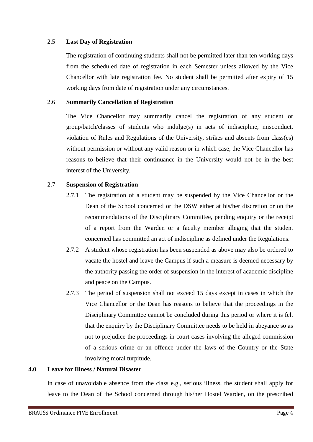#### 2.5 **Last Day of Registration**

The registration of continuing students shall not be permitted later than ten working days from the scheduled date of registration in each Semester unless allowed by the Vice Chancellor with late registration fee. No student shall be permitted after expiry of 15 working days from date of registration under any circumstances.

#### 2.6 **Summarily Cancellation of Registration**

The Vice Chancellor may summarily cancel the registration of any student or group/batch/classes of students who indulge(s) in acts of indiscipline, misconduct, violation of Rules and Regulations of the University, strikes and absents from class(es) without permission or without any valid reason or in which case, the Vice Chancellor has reasons to believe that their continuance in the University would not be in the best interest of the University.

#### 2.7 **Suspension of Registration**

- 2.7.1 The registration of a student may be suspended by the Vice Chancellor or the Dean of the School concerned or the DSW either at his/her discretion or on the recommendations of the Disciplinary Committee, pending enquiry or the receipt of a report from the Warden or a faculty member alleging that the student concerned has committed an act of indiscipline as defined under the Regulations.
- 2.7.2 A student whose registration has been suspended as above may also be ordered to vacate the hostel and leave the Campus if such a measure is deemed necessary by the authority passing the order of suspension in the interest of academic discipline and peace on the Campus.
- 2.7.3 The period of suspension shall not exceed 15 days except in cases in which the Vice Chancellor or the Dean has reasons to believe that the proceedings in the Disciplinary Committee cannot be concluded during this period or where it is felt that the enquiry by the Disciplinary Committee needs to be held in abeyance so as not to prejudice the proceedings in court cases involving the alleged commission of a serious crime or an offence under the laws of the Country or the State involving moral turpitude.

#### **4.0 Leave for Illness / Natural Disaster**

In case of unavoidable absence from the class e.g., serious illness, the student shall apply for leave to the Dean of the School concerned through his/her Hostel Warden, on the prescribed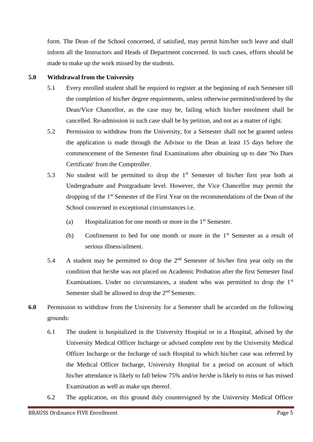form. The Dean of the School concerned, if satisfied, may permit him/her such leave and shall inform all the Instructors and Heads of Department concerned. In such cases, efforts should be made to make up the work missed by the students.

#### **5.0 Withdrawal from the University**

- 5.1 Every enrolled student shall be required to register at the beginning of each Semester till the completion of his/her degree requirements, unless otherwise permitted/ordered by the Dean/Vice Chancellor, as the case may be, failing which his/her enrolment shall be cancelled. Re-admission in such case shall be by petition, and not as a matter of right.
- 5.2 Permission to withdraw from the University, for a Semester shall not be granted unless the application is made through the Advisor to the Dean at least 15 days before the commencement of the Semester final Examinations after obtaining up to date 'No Dues Certificate' from the Comptroller.
- 5.3 No student will be permitted to drop the  $1<sup>st</sup>$  Semester of his/her first year both at Undergraduate and Postgraduate level. However, the Vice Chancellor may permit the dropping of the 1st Semester of the First Year on the recommendations of the Dean of the School concerned in exceptional circumstances i.e.
	- (a) Hospitalization for one month or more in the  $1<sup>st</sup>$  Semester.
	- (b) Confinement to bed for one month or more in the 1st Semester as a result of serious illness/ailment.
- 5.4 A student may be permitted to drop the  $2<sup>nd</sup>$  Semester of his/her first year only on the condition that he/she was not placed on Academic Probation after the first Semester final Examinations. Under no circumstances, a student who was permitted to drop the  $1<sup>st</sup>$ Semester shall be allowed to drop the 2<sup>nd</sup> Semester.
- **6.0** Permission to withdraw from the University for a Semester shall be accorded on the following grounds:
	- 6.1 The student is hospitalized in the University Hospital or in a Hospital, advised by the University Medical Officer Incharge or advised complete rest by the University Medical Officer Incharge or the Incharge of such Hospital to which his/her case was referred by the Medical Officer Incharge, University Hospital for a period on account of which his/her attendance is likely to fall below 75% and/or he/she is likely to miss or has missed Examination as well as make ups thereof.
	- 6.2 The application, on this ground duly countersigned by the University Medical Officer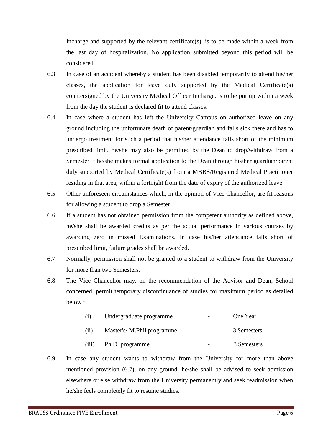Incharge and supported by the relevant certificate(s), is to be made within a week from the last day of hospitalization. No application submitted beyond this period will be considered.

- 6.3 In case of an accident whereby a student has been disabled temporarily to attend his/her classes, the application for leave duly supported by the Medical Certificate(s) countersigned by the University Medical Officer Incharge, is to be put up within a week from the day the student is declared fit to attend classes.
- 6.4 In case where a student has left the University Campus on authorized leave on any ground including the unfortunate death of parent/guardian and falls sick there and has to undergo treatment for such a period that his/her attendance falls short of the minimum prescribed limit, he/she may also be permitted by the Dean to drop/withdraw from a Semester if he/she makes formal application to the Dean through his/her guardian/parent duly supported by Medical Certificate(s) from a MBBS/Registered Medical Practitioner residing in that area, within a fortnight from the date of expiry of the authorized leave.
- 6.5 Other unforeseen circumstances which, in the opinion of Vice Chancellor, are fit reasons for allowing a student to drop a Semester.
- 6.6 If a student has not obtained permission from the competent authority as defined above, he/she shall be awarded credits as per the actual performance in various courses by awarding zero in missed Examinations. In case his/her attendance falls short of prescribed limit, failure grades shall be awarded.
- 6.7 Normally, permission shall not be granted to a student to withdraw from the University for more than two Semesters.
- 6.8 The Vice Chancellor may, on the recommendation of the Advisor and Dean, School concerned, permit temporary discontinuance of studies for maximum period as detailed below :

| (i)<br>(ii) | Undergraduate programme    | $\overline{\phantom{0}}$ | One Year    |
|-------------|----------------------------|--------------------------|-------------|
|             | Master's/ M.Phil programme | $\overline{\phantom{0}}$ | 3 Semesters |
| (iii)       | Ph.D. programme            |                          | 3 Semesters |

6.9 In case any student wants to withdraw from the University for more than above mentioned provision (6.7), on any ground, he/she shall be advised to seek admission elsewhere or else withdraw from the University permanently and seek readmission when he/she feels completely fit to resume studies.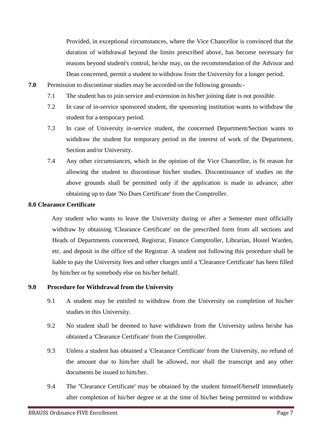Provided, in exceptional circumstances, where the Vice Chancellor is convinced that the duration of withdrawal beyond the limits prescribed above, has become necessary for reasons beyond student's control, he/she may, on the recommendation of the Advisor and Dean concerned, permit a student to withdraw from the University for a longer period.

- **7.0** Permission to discontinue studies may be accorded on the following grounds:-
	- 7.1 The student has to join service and extension in his/her joining date is not possible.
	- 7.2 In case of in-service sponsored student, the sponsoring institution wants to withdraw the student for a temporary period.
	- 7.3 In case of University in-service student, the concerned Department/Section wants to withdraw the student for temporary period in the interest of work of the Department, Section and/or University.
	- 7.4 Any other circumstances, which in the opinion of the Vice Chancellor, is fit reason for allowing the student to discontinue his/her studies. Discontinuance of studies on the above grounds shall be permitted only if the application is made in advance, after obtaining up to date 'No Dues Certificate' from the Comptroller.

#### **8.0 Clearance Certificate**

Any student who wants to leave the University during or after a Semester must officially withdraw by obtaining 'Clearance Certificate' on the prescribed form from all sections and Heads of Departments concerned, Registrar, Finance Comptroller, Librarian, Hostel Warden, etc. and deposit in the office of the Registrar. A student not following this procedure shall be liable to pay the University fees and other charges until a 'Clearance Certificate' has been filled by him/her or by somebody else on his/her behalf.

#### **9.0 Procedure for Withdrawal from the University**

- 9.1 A student may be entitled to withdraw from the University on completion of his/her studies in this University.
- 9.2 No student shall be deemed to have withdrawn from the University unless he/she has obtained a 'Clearance Certificate' from the Comptroller.
- 9.3 Unless a student has obtained a 'Clearance Certificate' from the University, no refund of the amount due to him/her shall be allowed, nor shall the transcript and any other documents be issued to him/her.
- 9.4 The ''Clearance Certificate' may be obtained by the student himself/herself immediately after completion of his/her degree or at the time of his/her being permitted to withdraw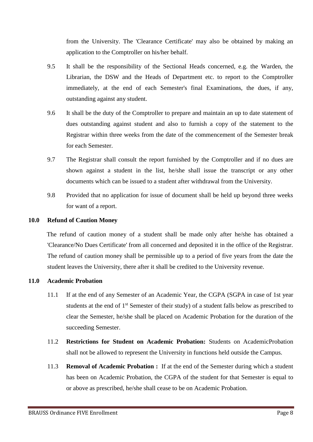from the University. The 'Clearance Certificate' may also be obtained by making an application to the Comptroller on his/her behalf.

- 9.5 It shall be the responsibility of the Sectional Heads concerned, e.g. the Warden, the Librarian, the DSW and the Heads of Department etc. to report to the Comptroller immediately, at the end of each Semester's final Examinations, the dues, if any, outstanding against any student.
- 9.6 It shall be the duty of the Comptroller to prepare and maintain an up to date statement of dues outstanding against student and also to furnish a copy of the statement to the Registrar within three weeks from the date of the commencement of the Semester break for each Semester.
- 9.7 The Registrar shall consult the report furnished by the Comptroller and if no dues are shown against a student in the list, he/she shall issue the transcript or any other documents which can be issued to a student after withdrawal from the University.
- 9.8 Provided that no application for issue of document shall be held up beyond three weeks for want of a report.

#### **10.0 Refund of Caution Money**

The refund of caution money of a student shall be made only after he/she has obtained a 'Clearance/No Dues Certificate' from all concerned and deposited it in the office of the Registrar. The refund of caution money shall be permissible up to a period of five years from the date the student leaves the University, there after it shall be credited to the University revenue.

#### **11.0 Academic Probation**

- 11.1 If at the end of any Semester of an Academic Year, the CGPA (SGPA in case of 1st year students at the end of 1<sup>st</sup> Semester of their study) of a student falls below as prescribed to clear the Semester, he/she shall be placed on Academic Probation for the duration of the succeeding Semester.
- 11.2 **Restrictions for Student on Academic Probation:** Students on AcademicProbation shall not be allowed to represent the University in functions held outside the Campus.
- 11.3 **Removal of Academic Probation :** If at the end of the Semester during which a student has been on Academic Probation, the CGPA of the student for that Semester is equal to or above as prescribed, he/she shall cease to be on Academic Probation.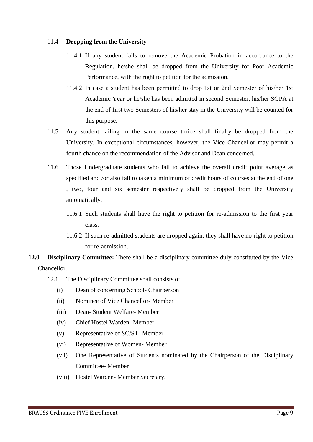#### 11.4 **Dropping from the University**

- 11.4.1 If any student fails to remove the Academic Probation in accordance to the Regulation, he/she shall be dropped from the University for Poor Academic Performance, with the right to petition for the admission.
- 11.4.2 In case a student has been permitted to drop 1st or 2nd Semester of his/her 1st Academic Year or he/she has been admitted in second Semester, his/her SGPA at the end of first two Semesters of his/her stay in the University will be counted for this purpose.
- 11.5 Any student failing in the same course thrice shall finally be dropped from the University. In exceptional circumstances, however, the Vice Chancellor may permit a fourth chance on the recommendation of the Advisor and Dean concerned.
- 11.6 Those Undergraduate students who fail to achieve the overall credit point average as specified and /or also fail to taken a minimum of credit hours of courses at the end of one , two, four and six semester respectively shall be dropped from the University automatically.
	- 11.6.1 Such students shall have the right to petition for re-admission to the first year class.
	- 11.6.2 If such re-admitted students are dropped again, they shall have no-right to petition for re-admission.
- **12.0 Disciplinary Committee:** There shall be a disciplinary committee duly constituted by the Vice Chancellor.
	- 12.1 The Disciplinary Committee shall consists of:
		- (i) Dean of concerning School- Chairperson
		- (ii) Nominee of Vice Chancellor- Member
		- (iii) Dean- Student Welfare- Member
		- (iv) Chief Hostel Warden- Member
		- (v) Representative of SC/ST- Member
		- (vi) Representative of Women- Member
		- (vii) One Representative of Students nominated by the Chairperson of the Disciplinary Committee- Member
		- (viii) Hostel Warden- Member Secretary.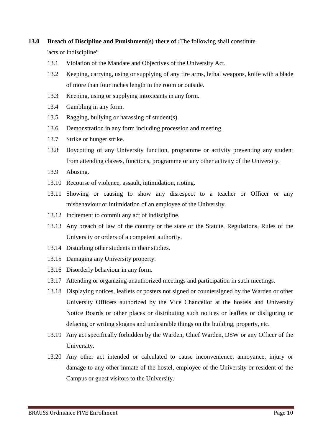#### **13.0 Breach of Discipline and Punishment(s) there of :**The following shall constitute

'acts of indiscipline':

- 13.1 Violation of the Mandate and Objectives of the University Act.
- 13.2 Keeping, carrying, using or supplying of any fire arms, lethal weapons, knife with a blade of more than four inches length in the room or outside.
- 13.3 Keeping, using or supplying intoxicants in any form.
- 13.4 Gambling in any form.
- 13.5 Ragging, bullying or harassing of student(s).
- 13.6 Demonstration in any form including procession and meeting.
- 13.7 Strike or hunger strike.
- 13.8 Boycotting of any University function, programme or activity preventing any student from attending classes, functions, programme or any other activity of the University.
- 13.9 Abusing.
- 13.10 Recourse of violence, assault, intimidation, rioting.
- 13.11 Showing or causing to show any disrespect to a teacher or Officer or any misbehaviour or intimidation of an employee of the University.
- 13.12 Incitement to commit any act of indiscipline.
- 13.13 Any breach of law of the country or the state or the Statute, Regulations, Rules of the University or orders of a competent authority.
- 13.14 Disturbing other students in their studies.
- 13.15 Damaging any University property.
- 13.16 Disorderly behaviour in any form.
- 13.17 Attending or organizing unauthorized meetings and participation in such meetings.
- 13.18 Displaying notices, leaflets or posters not signed or countersigned by the Warden or other University Officers authorized by the Vice Chancellor at the hostels and University Notice Boards or other places or distributing such notices or leaflets or disfiguring or defacing or writing slogans and undesirable things on the building, property, etc.
- 13.19 Any act specifically forbidden by the Warden, Chief Warden, DSW or any Officer of the University.
- 13.20 Any other act intended or calculated to cause inconvenience, annoyance, injury or damage to any other inmate of the hostel, employee of the University or resident of the Campus or guest visitors to the University.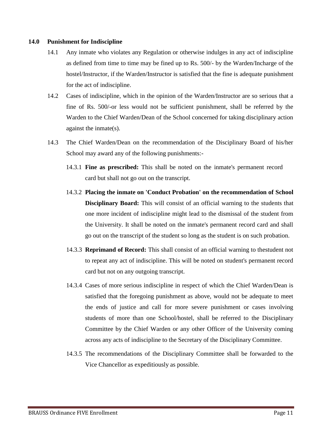#### **14.0 Punishment for Indiscipline**

- 14.1 Any inmate who violates any Regulation or otherwise indulges in any act of indiscipline as defined from time to time may be fined up to Rs. 500/- by the Warden/Incharge of the hostel/Instructor, if the Warden/Instructor is satisfied that the fine is adequate punishment for the act of indiscipline.
- 14.2 Cases of indiscipline, which in the opinion of the Warden/Instructor are so serious that a fine of Rs. 500/-or less would not be sufficient punishment, shall be referred by the Warden to the Chief Warden/Dean of the School concerned for taking disciplinary action against the inmate(s).
- 14.3 The Chief Warden/Dean on the recommendation of the Disciplinary Board of his/her School may award any of the following punishments:-
	- 14.3.1 **Fine as prescribed:** This shall be noted on the inmate's permanent record card but shall not go out on the transcript.
	- 14.3.2 **Placing the inmate on 'Conduct Probation' on the recommendation of School Disciplinary Board:** This will consist of an official warning to the students that one more incident of indiscipline might lead to the dismissal of the student from the University. It shall be noted on the inmate's permanent record card and shall go out on the transcript of the student so long as the student is on such probation.
	- 14.3.3 **Reprimand of Record:** This shall consist of an official warning to thestudent not to repeat any act of indiscipline. This will be noted on student's permanent record card but not on any outgoing transcript.
	- 14.3.4 Cases of more serious indiscipline in respect of which the Chief Warden/Dean is satisfied that the foregoing punishment as above, would not be adequate to meet the ends of justice and call for more severe punishment or cases involving students of more than one School/hostel, shall be referred to the Disciplinary Committee by the Chief Warden or any other Officer of the University coming across any acts of indiscipline to the Secretary of the Disciplinary Committee.
	- 14.3.5 The recommendations of the Disciplinary Committee shall be forwarded to the Vice Chancellor as expeditiously as possible.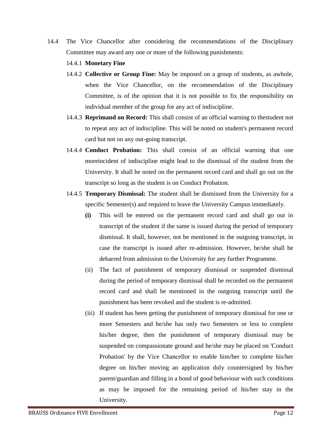- 14.4 The Vice Chancellor after considering the recommendations of the Disciplinary Committee may award any one or more of the following punishments:
	- 14.4.1 **Monetary Fine**
	- 14.4.2 **Collective or Group Fine:** May be imposed on a group of students, as awhole, when the Vice Chancellor, on the recommendation of the Disciplinary Committee, is of the opinion that it is not possible to fix the responsibility on individual member of the group for any act of indiscipline.
	- 14.4.3 **Reprimand on Record:** This shall consist of an official warning to thestudent not to repeat any act of indiscipline. This will be noted on student's permanent record card but not on any out-going transcript.
	- 14.4.4 **Conduct Probation:** This shall consist of an official warning that one moreincident of indiscipline might lead to the dismissal of the student from the University. It shall be noted on the permanent record card and shall go out on the transcript so long as the student is on Conduct Probation.
	- 14.4.5 **Temporary Dismissal:** The student shall be dismissed from the University for a specific Semester(s) and required to leave the University Campus immediately.
		- **(i)** This will be entered on the permanent record card and shall go out in transcript of the student if the same is issued during the period of temporary dismissal. It shall, however, not be mentioned in the outgoing transcript, in case the transcript is issued after re-admission. However, he/she shall be debarred from admission to the University for any further Programme.
		- (ii) The fact of punishment of temporary dismissal or suspended dismissal during the period of temporary dismissal shall be recorded on the permanent record card and shall be mentioned in the outgoing transcript until the punishment has been revoked and the student is re-admitted.
		- (iii) If student has been getting the punishment of temporary dismissal for one or more Semesters and he/she has only two Semesters or less to complete his/her degree, then the punishment of temporary dismissal may be suspended on compassionate ground and he/she may be placed on 'Conduct Probation' by the Vice Chancellor to enable him/her to complete his/her degree on his/her moving an application duly countersigned by his/her parent/guardian and filling in a bond of good behaviour with such conditions as may be imposed for the remaining period of his/her stay in the University.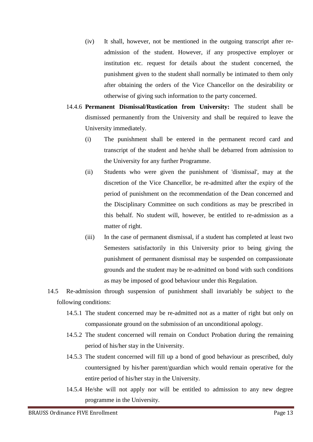- (iv) It shall, however, not be mentioned in the outgoing transcript after readmission of the student. However, if any prospective employer or institution etc. request for details about the student concerned, the punishment given to the student shall normally be intimated to them only after obtaining the orders of the Vice Chancellor on the desirability or otherwise of giving such information to the party concerned.
- 14.4.6 **Permanent Dismissal/Rustication from University:** The student shall be dismissed permanently from the University and shall be required to leave the University immediately.
	- (i) The punishment shall be entered in the permanent record card and transcript of the student and he/she shall be debarred from admission to the University for any further Programme.
	- (ii) Students who were given the punishment of 'dismissal', may at the discretion of the Vice Chancellor, be re-admitted after the expiry of the period of punishment on the recommendation of the Dean concerned and the Disciplinary Committee on such conditions as may be prescribed in this behalf. No student will, however, be entitled to re-admission as a matter of right.
	- (iii) In the case of permanent dismissal, if a student has completed at least two Semesters satisfactorily in this University prior to being giving the punishment of permanent dismissal may be suspended on compassionate grounds and the student may be re-admitted on bond with such conditions as may be imposed of good behaviour under this Regulation.
- 14.5 Re-admission through suspension of punishment shall invariably be subject to the following conditions:
	- 14.5.1 The student concerned may be re-admitted not as a matter of right but only on compassionate ground on the submission of an unconditional apology.
	- 14.5.2 The student concerned will remain on Conduct Probation during the remaining period of his/her stay in the University.
	- 14.5.3 The student concerned will fill up a bond of good behaviour as prescribed, duly countersigned by his/her parent/guardian which would remain operative for the entire period of his/her stay in the University.
	- 14.5.4 He/she will not apply nor will be entitled to admission to any new degree programme in the University.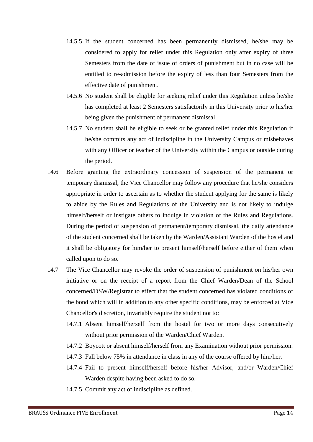- 14.5.5 If the student concerned has been permanently dismissed, he/she may be considered to apply for relief under this Regulation only after expiry of three Semesters from the date of issue of orders of punishment but in no case will be entitled to re-admission before the expiry of less than four Semesters from the effective date of punishment.
- 14.5.6 No student shall be eligible for seeking relief under this Regulation unless he/she has completed at least 2 Semesters satisfactorily in this University prior to his/her being given the punishment of permanent dismissal.
- 14.5.7 No student shall be eligible to seek or be granted relief under this Regulation if he/she commits any act of indiscipline in the University Campus or misbehaves with any Officer or teacher of the University within the Campus or outside during the period.
- 14.6 Before granting the extraordinary concession of suspension of the permanent or temporary dismissal, the Vice Chancellor may follow any procedure that he/she considers appropriate in order to ascertain as to whether the student applying for the same is likely to abide by the Rules and Regulations of the University and is not likely to indulge himself/herself or instigate others to indulge in violation of the Rules and Regulations. During the period of suspension of permanent/temporary dismissal, the daily attendance of the student concerned shall be taken by the Warden/Assistant Warden of the hostel and it shall be obligatory for him/her to present himself/herself before either of them when called upon to do so.
- 14.7 The Vice Chancellor may revoke the order of suspension of punishment on his/her own initiative or on the receipt of a report from the Chief Warden/Dean of the School concerned/DSW/Registrar to effect that the student concerned has violated conditions of the bond which will in addition to any other specific conditions, may be enforced at Vice Chancellor's discretion, invariably require the student not to:
	- 14.7.1 Absent himself/herself from the hostel for two or more days consecutively without prior permission of the Warden/Chief Warden.
	- 14.7.2 Boycott or absent himself/herself from any Examination without prior permission.
	- 14.7.3 Fall below 75% in attendance in class in any of the course offered by him/her.
	- 14.7.4 Fail to present himself/herself before his/her Advisor, and/or Warden/Chief Warden despite having been asked to do so.
	- 14.7.5 Commit any act of indiscipline as defined.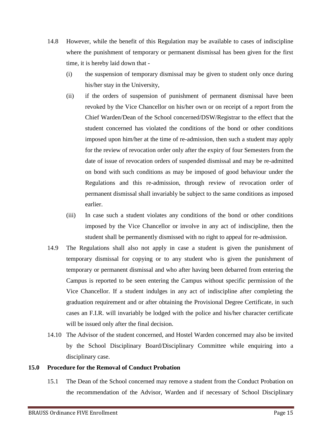- 14.8 However, while the benefit of this Regulation may be available to cases of indiscipline where the punishment of temporary or permanent dismissal has been given for the first time, it is hereby laid down that -
	- (i) the suspension of temporary dismissal may be given to student only once during his/her stay in the University,
	- (ii) if the orders of suspension of punishment of permanent dismissal have been revoked by the Vice Chancellor on his/her own or on receipt of a report from the Chief Warden/Dean of the School concerned/DSW/Registrar to the effect that the student concerned has violated the conditions of the bond or other conditions imposed upon him/her at the time of re-admission, then such a student may apply for the review of revocation order only after the expiry of four Semesters from the date of issue of revocation orders of suspended dismissal and may be re-admitted on bond with such conditions as may be imposed of good behaviour under the Regulations and this re-admission, through review of revocation order of permanent dismissal shall invariably be subject to the same conditions as imposed earlier.
	- (iii) In case such a student violates any conditions of the bond or other conditions imposed by the Vice Chancellor or involve in any act of indiscipline, then the student shall be permanently dismissed with no right to appeal for re-admission.
- 14.9 The Regulations shall also not apply in case a student is given the punishment of temporary dismissal for copying or to any student who is given the punishment of temporary or permanent dismissal and who after having been debarred from entering the Campus is reported to be seen entering the Campus without specific permission of the Vice Chancellor. If a student indulges in any act of indiscipline after completing the graduation requirement and or after obtaining the Provisional Degree Certificate, in such cases an F.I.R. will invariably be lodged with the police and his/her character certificate will be issued only after the final decision.
- 14.10 The Advisor of the student concerned, and Hostel Warden concerned may also be invited by the School Disciplinary Board/Disciplinary Committee while enquiring into a disciplinary case.

#### **15.0 Procedure for the Removal of Conduct Probation**

15.1 The Dean of the School concerned may remove a student from the Conduct Probation on the recommendation of the Advisor, Warden and if necessary of School Disciplinary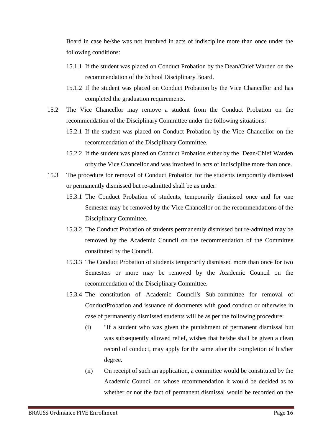Board in case he/she was not involved in acts of indiscipline more than once under the following conditions:

- 15.1.1 If the student was placed on Conduct Probation by the Dean/Chief Warden on the recommendation of the School Disciplinary Board.
- 15.1.2 If the student was placed on Conduct Probation by the Vice Chancellor and has completed the graduation requirements.
- 15.2 The Vice Chancellor may remove a student from the Conduct Probation on the recommendation of the Disciplinary Committee under the following situations:
	- 15.2.1 If the student was placed on Conduct Probation by the Vice Chancellor on the recommendation of the Disciplinary Committee.
	- 15.2.2 If the student was placed on Conduct Probation either by the Dean/Chief Warden orby the Vice Chancellor and was involved in acts of indiscipline more than once.
- 15.3 The procedure for removal of Conduct Probation for the students temporarily dismissed or permanently dismissed but re-admitted shall be as under:
	- 15.3.1 The Conduct Probation of students, temporarily dismissed once and for one Semester may be removed by the Vice Chancellor on the recommendations of the Disciplinary Committee.
	- 15.3.2 The Conduct Probation of students permanently dismissed but re-admitted may be removed by the Academic Council on the recommendation of the Committee constituted by the Council.
	- 15.3.3 The Conduct Probation of students temporarily dismissed more than once for two Semesters or more may be removed by the Academic Council on the recommendation of the Disciplinary Committee.
	- 15.3.4 The constitution of Academic Council's Sub-committee for removal of ConductProbation and issuance of documents with good conduct or otherwise in case of permanently dismissed students will be as per the following procedure:
		- (i) "If a student who was given the punishment of permanent dismissal but was subsequently allowed relief, wishes that he/she shall be given a clean record of conduct, may apply for the same after the completion of his/her degree.
		- (ii) On receipt of such an application, a committee would be constituted by the Academic Council on whose recommendation it would be decided as to whether or not the fact of permanent dismissal would be recorded on the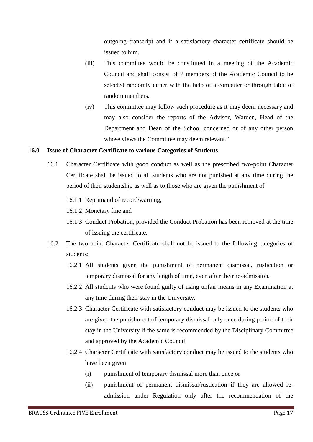outgoing transcript and if a satisfactory character certificate should be issued to him.

- (iii) This committee would be constituted in a meeting of the Academic Council and shall consist of 7 members of the Academic Council to be selected randomly either with the help of a computer or through table of random members.
- (iv) This committee may follow such procedure as it may deem necessary and may also consider the reports of the Advisor, Warden, Head of the Department and Dean of the School concerned or of any other person whose views the Committee may deem relevant."

#### **16.0 Issue of Character Certificate to various Categories of Students**

- 16.1 Character Certificate with good conduct as well as the prescribed two-point Character Certificate shall be issued to all students who are not punished at any time during the period of their studentship as well as to those who are given the punishment of
	- 16.1.1 Reprimand of record/warning,
	- 16.1.2 Monetary fine and
	- 16.1.3 Conduct Probation, provided the Conduct Probation has been removed at the time of issuing the certificate.
- 16.2 The two-point Character Certificate shall not be issued to the following categories of students:
	- 16.2.1 All students given the punishment of permanent dismissal, rustication or temporary dismissal for any length of time, even after their re-admission.
	- 16.2.2 All students who were found guilty of using unfair means in any Examination at any time during their stay in the University.
	- 16.2.3 Character Certificate with satisfactory conduct may be issued to the students who are given the punishment of temporary dismissal only once during period of their stay in the University if the same is recommended by the Disciplinary Committee and approved by the Academic Council.
	- 16.2.4 Character Certificate with satisfactory conduct may be issued to the students who have been given
		- (i) punishment of temporary dismissal more than once or
		- (ii) punishment of permanent dismissal/rustication if they are allowed readmission under Regulation only after the recommendation of the